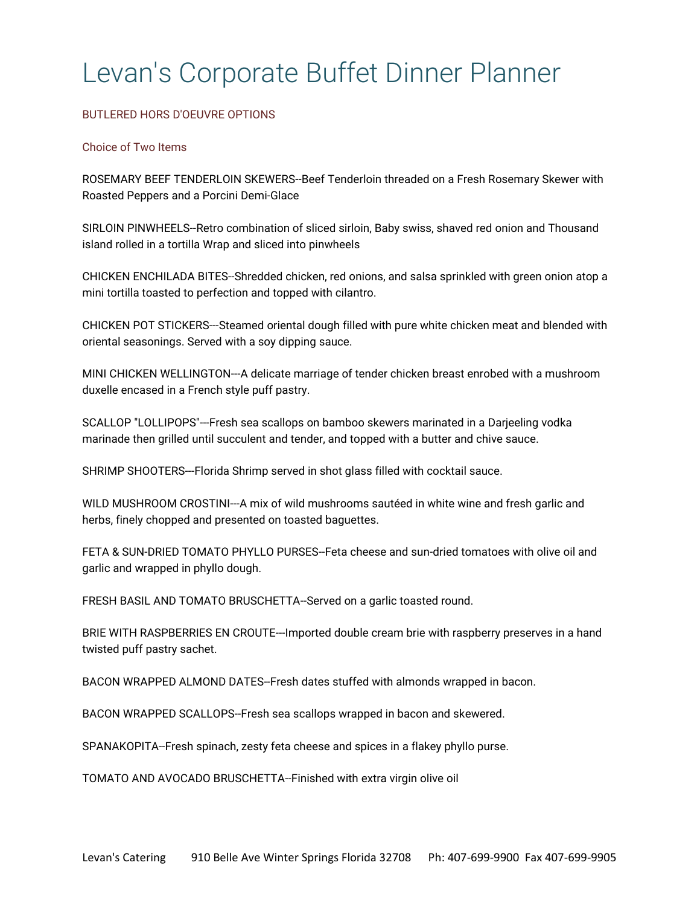# Levan's Corporate Buffet Dinner Planner

# BUTLERED HORS D'OEUVRE OPTIONS

# Choice of Two Items

ROSEMARY BEEF TENDERLOIN SKEWERS--Beef Tenderloin threaded on a Fresh Rosemary Skewer with Roasted Peppers and a Porcini Demi-Glace

SIRLOIN PINWHEELS--Retro combination of sliced sirloin, Baby swiss, shaved red onion and Thousand island rolled in a tortilla Wrap and sliced into pinwheels

CHICKEN ENCHILADA BITES--Shredded chicken, red onions, and salsa sprinkled with green onion atop a mini tortilla toasted to perfection and topped with cilantro.

CHICKEN POT STICKERS---Steamed oriental dough filled with pure white chicken meat and blended with oriental seasonings. Served with a soy dipping sauce.

MINI CHICKEN WELLINGTON---A delicate marriage of tender chicken breast enrobed with a mushroom duxelle encased in a French style puff pastry.

SCALLOP "LOLLIPOPS"---Fresh sea scallops on bamboo skewers marinated in a Darjeeling vodka marinade then grilled until succulent and tender, and topped with a butter and chive sauce.

SHRIMP SHOOTERS---Florida Shrimp served in shot glass filled with cocktail sauce.

WILD MUSHROOM CROSTINI---A mix of wild mushrooms sautéed in white wine and fresh garlic and herbs, finely chopped and presented on toasted baguettes.

FETA & SUN-DRIED TOMATO PHYLLO PURSES--Feta cheese and sun-dried tomatoes with olive oil and garlic and wrapped in phyllo dough.

FRESH BASIL AND TOMATO BRUSCHETTA--Served on a garlic toasted round.

BRIE WITH RASPBERRIES EN CROUTE---Imported double cream brie with raspberry preserves in a hand twisted puff pastry sachet.

BACON WRAPPED ALMOND DATES--Fresh dates stuffed with almonds wrapped in bacon.

BACON WRAPPED SCALLOPS--Fresh sea scallops wrapped in bacon and skewered.

SPANAKOPITA--Fresh spinach, zesty feta cheese and spices in a flakey phyllo purse.

TOMATO AND AVOCADO BRUSCHETTA--Finished with extra virgin olive oil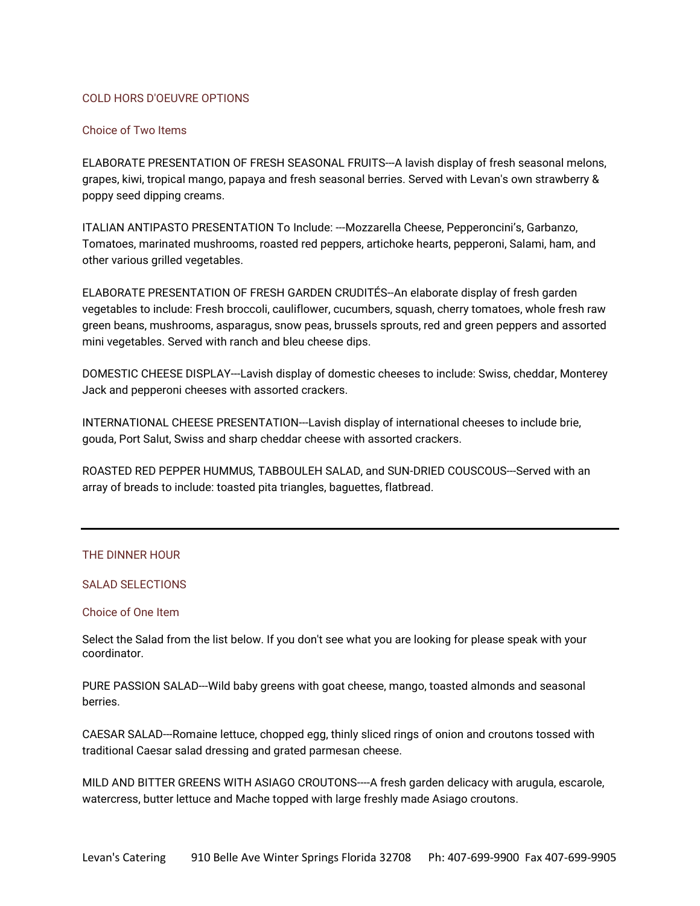# COLD HORS D'OEUVRE OPTIONS

## Choice of Two Items

ELABORATE PRESENTATION OF FRESH SEASONAL FRUITS---A lavish display of fresh seasonal melons, grapes, kiwi, tropical mango, papaya and fresh seasonal berries. Served with Levan's own strawberry & poppy seed dipping creams.

ITALIAN ANTIPASTO PRESENTATION To Include: ---Mozzarella Cheese, Pepperoncini's, Garbanzo, Tomatoes, marinated mushrooms, roasted red peppers, artichoke hearts, pepperoni, Salami, ham, and other various grilled vegetables.

ELABORATE PRESENTATION OF FRESH GARDEN CRUDITÉS--An elaborate display of fresh garden vegetables to include: Fresh broccoli, cauliflower, cucumbers, squash, cherry tomatoes, whole fresh raw green beans, mushrooms, asparagus, snow peas, brussels sprouts, red and green peppers and assorted mini vegetables. Served with ranch and bleu cheese dips.

DOMESTIC CHEESE DISPLAY---Lavish display of domestic cheeses to include: Swiss, cheddar, Monterey Jack and pepperoni cheeses with assorted crackers.

INTERNATIONAL CHEESE PRESENTATION---Lavish display of international cheeses to include brie, gouda, Port Salut, Swiss and sharp cheddar cheese with assorted crackers.

ROASTED RED PEPPER HUMMUS, TABBOULEH SALAD, and SUN-DRIED COUSCOUS---Served with an array of breads to include: toasted pita triangles, baguettes, flatbread.

## THE DINNER HOUR

# SALAD SELECTIONS

# Choice of One Item

Select the Salad from the list below. If you don't see what you are looking for please speak with your coordinator.

PURE PASSION SALAD---Wild baby greens with goat cheese, mango, toasted almonds and seasonal berries.

CAESAR SALAD---Romaine lettuce, chopped egg, thinly sliced rings of onion and croutons tossed with traditional Caesar salad dressing and grated parmesan cheese.

MILD AND BITTER GREENS WITH ASIAGO CROUTONS----A fresh garden delicacy with arugula, escarole, watercress, butter lettuce and Mache topped with large freshly made Asiago croutons.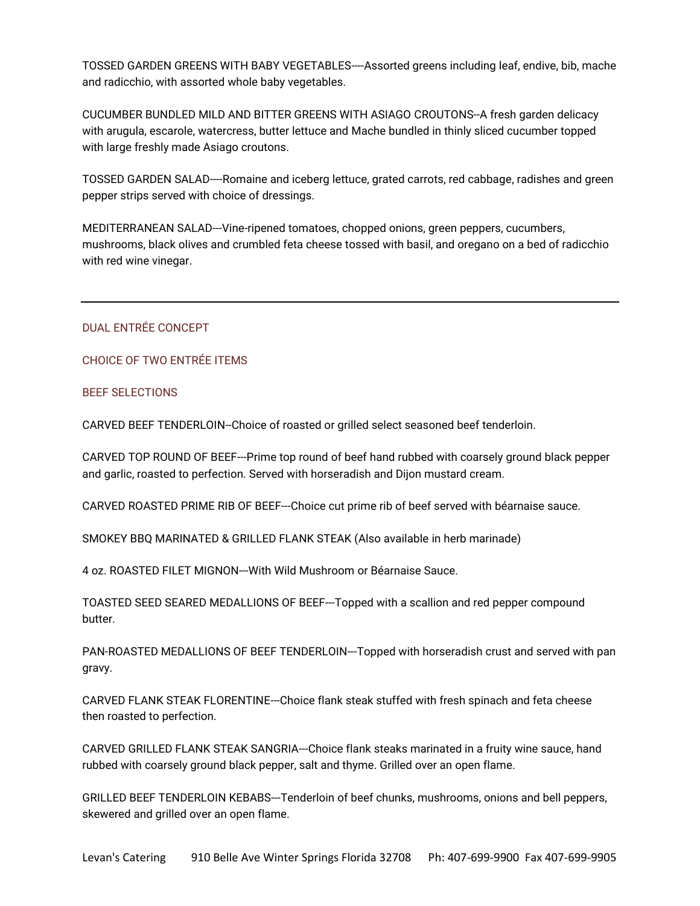TOSSED GARDEN GREENS WITH BABY VEGETABLES----Assorted greens including leaf, endive, bib, mache and radicchio, with assorted whole baby vegetables.

CUCUMBER BUNDLED MILD AND BITTER GREENS WITH ASIAGO CROUTONS--A fresh garden delicacy with arugula, escarole, watercress, butter lettuce and Mache bundled in thinly sliced cucumber topped with large freshly made Asiago croutons.

TOSSED GARDEN SALAD----Romaine and iceberg lettuce, grated carrots, red cabbage, radishes and green pepper strips served with choice of dressings.

MEDITERRANEAN SALAD---Vine-ripened tomatoes, chopped onions, green peppers, cucumbers, mushrooms, black olives and crumbled feta cheese tossed with basil, and oregano on a bed of radicchio with red wine vinegar.

# DUAL ENTRÉE CONCEPT

CHOICE OF TWO ENTRÉE ITEMS

# BEEF SELECTIONS

CARVED BEEF TENDERLOIN--Choice of roasted or grilled select seasoned beef tenderloin.

CARVED TOP ROUND OF BEEF---Prime top round of beef hand rubbed with coarsely ground black pepper and garlic, roasted to perfection. Served with horseradish and Dijon mustard cream.

CARVED ROASTED PRIME RIB OF BEEF---Choice cut prime rib of beef served with béarnaise sauce.

SMOKEY BBQ MARINATED & GRILLED FLANK STEAK (Also available in herb marinade)

4 oz. ROASTED FILET MIGNON---With Wild Mushroom or Béarnaise Sauce.

TOASTED SEED SEARED MEDALLIONS OF BEEF---Topped with a scallion and red pepper compound butter.

PAN-ROASTED MEDALLIONS OF BEEF TENDERLOIN---Topped with horseradish crust and served with pan gravy.

CARVED FLANK STEAK FLORENTINE---Choice flank steak stuffed with fresh spinach and feta cheese then roasted to perfection.

CARVED GRILLED FLANK STEAK SANGRIA---Choice flank steaks marinated in a fruity wine sauce, hand rubbed with coarsely ground black pepper, salt and thyme. Grilled over an open flame.

GRILLED BEEF TENDERLOIN KEBABS---Tenderloin of beef chunks, mushrooms, onions and bell peppers, skewered and grilled over an open flame.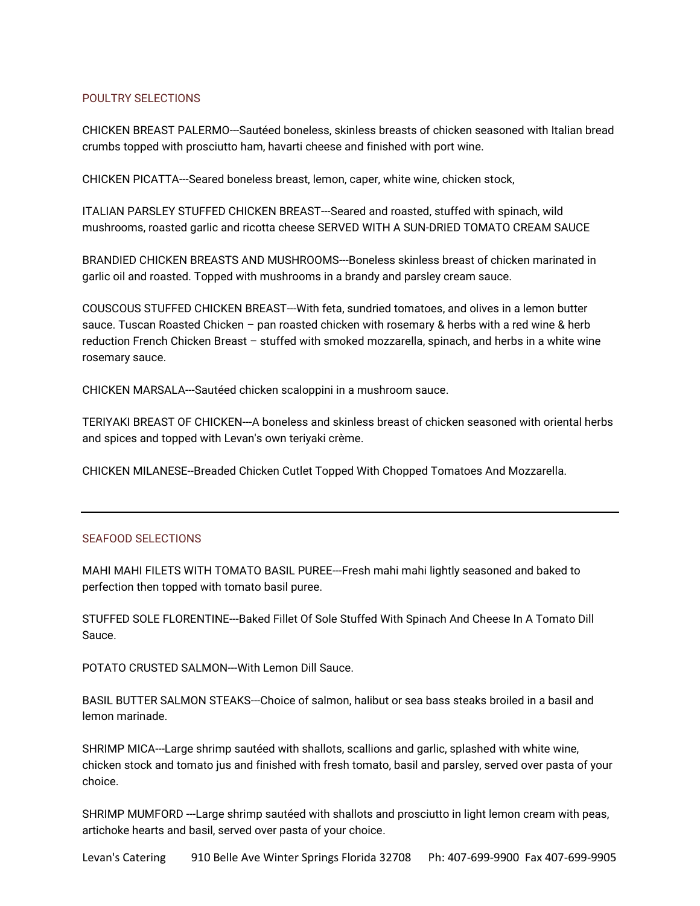# POULTRY SELECTIONS

CHICKEN BREAST PALERMO---Sautéed boneless, skinless breasts of chicken seasoned with Italian bread crumbs topped with prosciutto ham, havarti cheese and finished with port wine.

CHICKEN PICATTA---Seared boneless breast, lemon, caper, white wine, chicken stock,

ITALIAN PARSLEY STUFFED CHICKEN BREAST---Seared and roasted, stuffed with spinach, wild mushrooms, roasted garlic and ricotta cheese SERVED WITH A SUN-DRIED TOMATO CREAM SAUCE

BRANDIED CHICKEN BREASTS AND MUSHROOMS---Boneless skinless breast of chicken marinated in garlic oil and roasted. Topped with mushrooms in a brandy and parsley cream sauce.

COUSCOUS STUFFED CHICKEN BREAST---With feta, sundried tomatoes, and olives in a lemon butter sauce. Tuscan Roasted Chicken – pan roasted chicken with rosemary & herbs with a red wine & herb reduction French Chicken Breast – stuffed with smoked mozzarella, spinach, and herbs in a white wine rosemary sauce.

CHICKEN MARSALA---Sautéed chicken scaloppini in a mushroom sauce.

TERIYAKI BREAST OF CHICKEN---A boneless and skinless breast of chicken seasoned with oriental herbs and spices and topped with Levan's own teriyaki crème.

CHICKEN MILANESE--Breaded Chicken Cutlet Topped With Chopped Tomatoes And Mozzarella.

# SEAFOOD SELECTIONS

MAHI MAHI FILETS WITH TOMATO BASIL PUREE---Fresh mahi mahi lightly seasoned and baked to perfection then topped with tomato basil puree.

STUFFED SOLE FLORENTINE---Baked Fillet Of Sole Stuffed With Spinach And Cheese In A Tomato Dill Sauce.

POTATO CRUSTED SALMON---With Lemon Dill Sauce.

BASIL BUTTER SALMON STEAKS---Choice of salmon, halibut or sea bass steaks broiled in a basil and lemon marinade.

SHRIMP MICA---Large shrimp sautéed with shallots, scallions and garlic, splashed with white wine, chicken stock and tomato jus and finished with fresh tomato, basil and parsley, served over pasta of your choice.

SHRIMP MUMFORD ---Large shrimp sautéed with shallots and prosciutto in light lemon cream with peas, artichoke hearts and basil, served over pasta of your choice.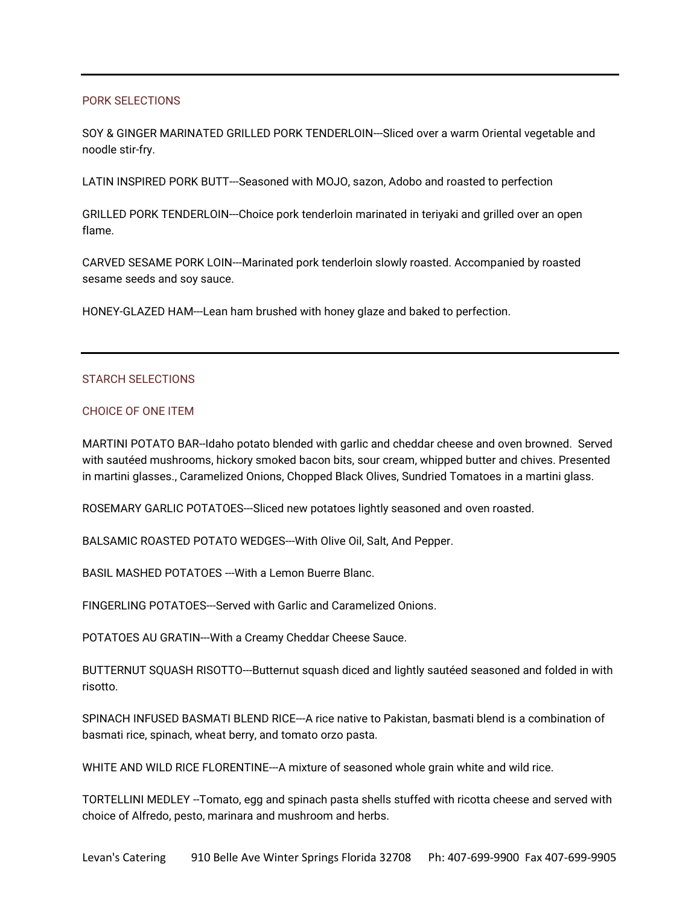# PORK SELECTIONS

SOY & GINGER MARINATED GRILLED PORK TENDERLOIN---Sliced over a warm Oriental vegetable and noodle stir-fry.

LATIN INSPIRED PORK BUTT---Seasoned with MOJO, sazon, Adobo and roasted to perfection

GRILLED PORK TENDERLOIN---Choice pork tenderloin marinated in teriyaki and grilled over an open flame.

CARVED SESAME PORK LOIN---Marinated pork tenderloin slowly roasted. Accompanied by roasted sesame seeds and soy sauce.

HONEY-GLAZED HAM---Lean ham brushed with honey glaze and baked to perfection.

# STARCH SELECTIONS

#### CHOICE OF ONE ITEM

MARTINI POTATO BAR--Idaho potato blended with garlic and cheddar cheese and oven browned. Served with sautéed mushrooms, hickory smoked bacon bits, sour cream, whipped butter and chives. Presented in martini glasses., Caramelized Onions, Chopped Black Olives, Sundried Tomatoes in a martini glass.

ROSEMARY GARLIC POTATOES---Sliced new potatoes lightly seasoned and oven roasted.

BALSAMIC ROASTED POTATO WEDGES---With Olive Oil, Salt, And Pepper.

BASIL MASHED POTATOES ---With a Lemon Buerre Blanc.

FINGERLING POTATOES---Served with Garlic and Caramelized Onions.

POTATOES AU GRATIN---With a Creamy Cheddar Cheese Sauce.

BUTTERNUT SQUASH RISOTTO---Butternut squash diced and lightly sautéed seasoned and folded in with risotto.

SPINACH INFUSED BASMATI BLEND RICE---A rice native to Pakistan, basmati blend is a combination of basmati rice, spinach, wheat berry, and tomato orzo pasta.

WHITE AND WILD RICE FLORENTINE---A mixture of seasoned whole grain white and wild rice.

TORTELLINI MEDLEY --Tomato, egg and spinach pasta shells stuffed with ricotta cheese and served with choice of Alfredo, pesto, marinara and mushroom and herbs.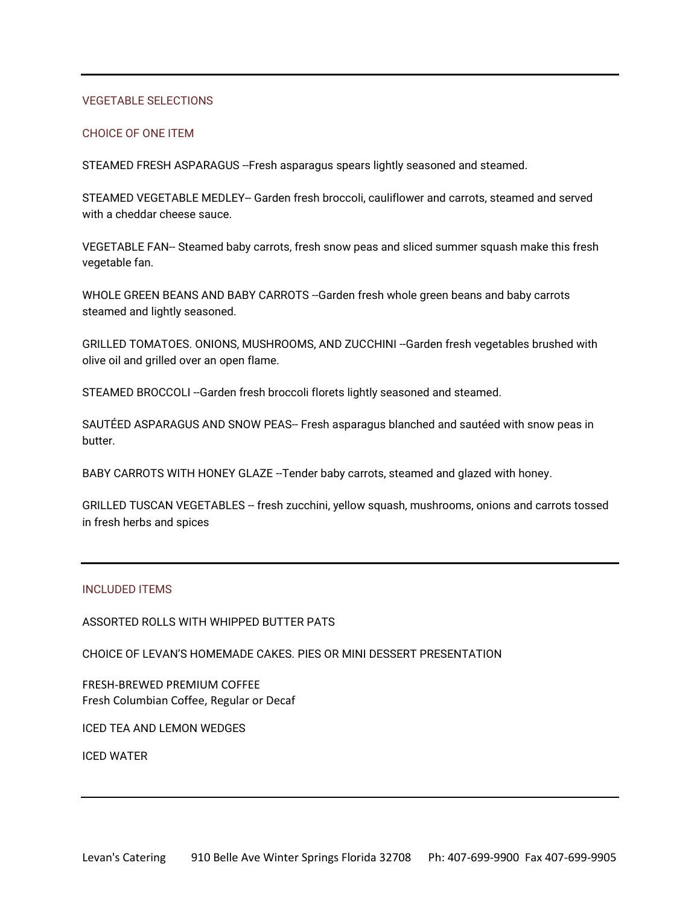# VEGETABLE SELECTIONS

## CHOICE OF ONE ITEM

STEAMED FRESH ASPARAGUS --Fresh asparagus spears lightly seasoned and steamed.

STEAMED VEGETABLE MEDLEY-- Garden fresh broccoli, cauliflower and carrots, steamed and served with a cheddar cheese sauce.

VEGETABLE FAN-- Steamed baby carrots, fresh snow peas and sliced summer squash make this fresh vegetable fan.

WHOLE GREEN BEANS AND BABY CARROTS -- Garden fresh whole green beans and baby carrots steamed and lightly seasoned.

GRILLED TOMATOES. ONIONS, MUSHROOMS, AND ZUCCHINI --Garden fresh vegetables brushed with olive oil and grilled over an open flame.

STEAMED BROCCOLI --Garden fresh broccoli florets lightly seasoned and steamed.

SAUTÉED ASPARAGUS AND SNOW PEAS-- Fresh asparagus blanched and sautéed with snow peas in butter.

BABY CARROTS WITH HONEY GLAZE --Tender baby carrots, steamed and glazed with honey.

GRILLED TUSCAN VEGETABLES -- fresh zucchini, yellow squash, mushrooms, onions and carrots tossed in fresh herbs and spices

#### INCLUDED ITEMS

ASSORTED ROLLS WITH WHIPPED BUTTER PATS

CHOICE OF LEVAN'S HOMEMADE CAKES. PIES OR MINI DESSERT PRESENTATION

FRESH-BREWED PREMIUM COFFEE Fresh Columbian Coffee, Regular or Decaf

ICED TEA AND LEMON WEDGES

ICED WATER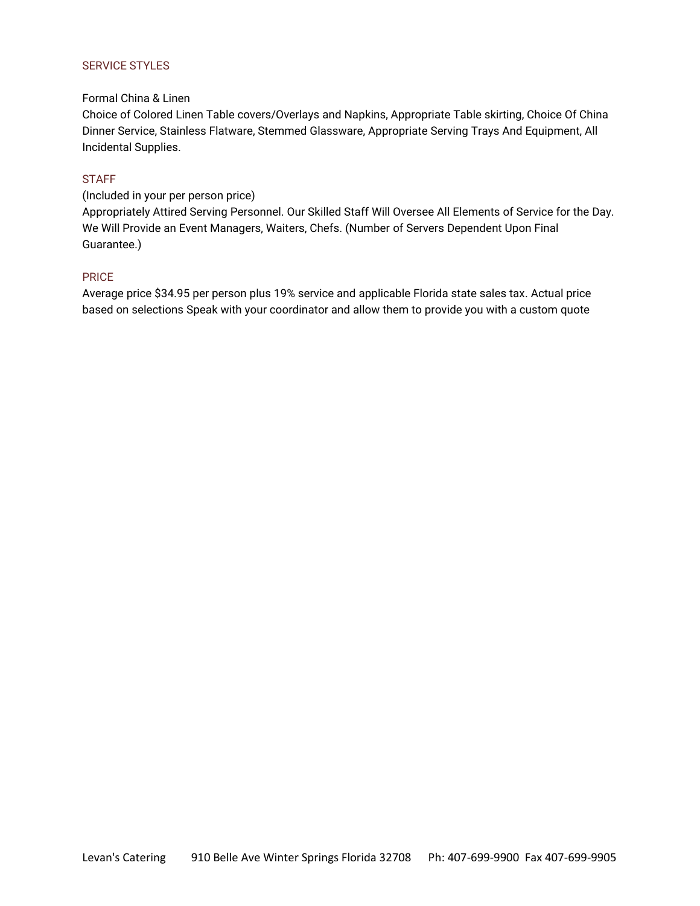# SERVICE STYLES

# Formal China & Linen

Choice of Colored Linen Table covers/Overlays and Napkins, Appropriate Table skirting, Choice Of China Dinner Service, Stainless Flatware, Stemmed Glassware, Appropriate Serving Trays And Equipment, All Incidental Supplies.

# **STAFF**

# (Included in your per person price)

Appropriately Attired Serving Personnel. Our Skilled Staff Will Oversee All Elements of Service for the Day. We Will Provide an Event Managers, Waiters, Chefs. (Number of Servers Dependent Upon Final Guarantee.)

# PRICE

Average price \$34.95 per person plus 19% service and applicable Florida state sales tax. Actual price based on selections Speak with your coordinator and allow them to provide you with a custom quote